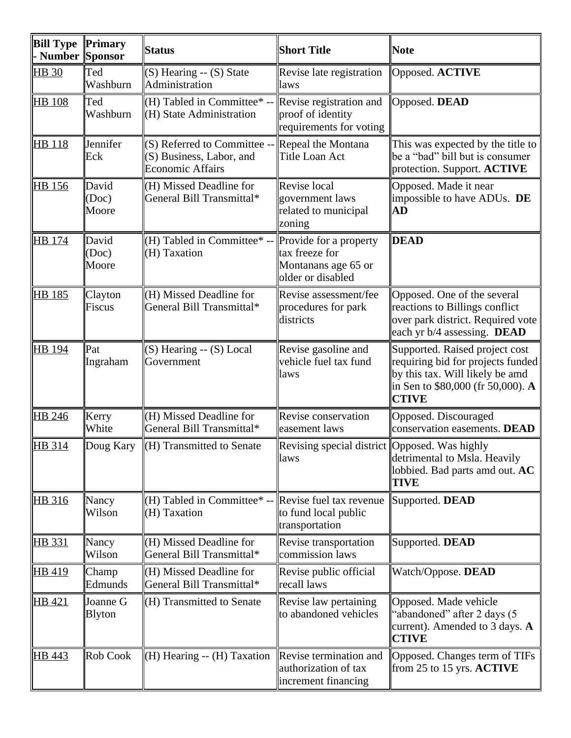| <b>Bill Type</b><br>- Number | Primary<br>Sponsor          | <b>Status</b>                                                                                     | <b>Short Title</b>                                                                   | <b>Note</b>                                                                                                                                                 |
|------------------------------|-----------------------------|---------------------------------------------------------------------------------------------------|--------------------------------------------------------------------------------------|-------------------------------------------------------------------------------------------------------------------------------------------------------------|
| <b>HB</b> 30                 | Ted<br>Washburn             | $(S)$ Hearing -- $(S)$ State<br>Administration                                                    | Revise late registration<br>laws                                                     | Opposed. ACTIVE                                                                                                                                             |
| <b>HB</b> 108                | Ted<br>Washburn             | $(H)$ Tabled in Committee* --<br>$(H)$ State Administration                                       | Revise registration and<br>proof of identity<br>requirements for voting              | Opposed. DEAD                                                                                                                                               |
| <b>HB</b> 118                | Jennifer<br>Eck             | $(S)$ Referred to Committee -- Repeal the Montana<br>(S) Business, Labor, and<br>Economic Affairs | Title Loan Act                                                                       | This was expected by the title to<br>be a "bad" bill but is consumer<br>protection. Support. ACTIVE                                                         |
| <b>HB</b> 156                | David<br>(Doc)<br>Moore     | $(H)$ Missed Deadline for<br>General Bill Transmittal*                                            | Revise local<br>government laws<br>related to municipal<br>zoning                    | Opposed. Made it near<br>impossible to have ADUs. DE<br>AD                                                                                                  |
| HB 174                       | David<br>(Doc)<br>Moore     | (H) Tabled in Committee $*$ --<br>$(H)$ Taxation                                                  | Provide for a property<br>tax freeze for<br>Montanans age 65 or<br>older or disabled | <b>DEAD</b>                                                                                                                                                 |
| HB 185                       | Clayton<br>Fiscus           | (H) Missed Deadline for<br>General Bill Transmittal*                                              | Revise assessment/fee<br>procedures for park<br>districts                            | Opposed. One of the several<br>reactions to Billings conflict<br>over park district. Required vote<br>each yr b/4 assessing. DEAD                           |
| HB 194                       | $\parallel$ Pat<br>Ingraham | $(S)$ Hearing -- $(S)$ Local<br>Government                                                        | Revise gasoline and<br>vehicle fuel tax fund<br>laws                                 | Supported. Raised project cost<br>requiring bid for projects funded<br>by this tax. Will likely be amd<br>in Sen to \$80,000 (fr 50,000). A<br><b>CTIVE</b> |
| HB 246                       | Kerry<br>White              | $(H)$ Missed Deadline for<br>General Bill Transmittal*                                            | Revise conservation<br>easement laws                                                 | Opposed. Discouraged<br>conservation easements. DEAD                                                                                                        |
| HB 314                       | Doug Kary                   | $\Vert$ (H) Transmitted to Senate                                                                 | Revising special district Opposed. Was highly<br>laws                                | detrimental to Msla. Heavily<br>lobbied. Bad parts amd out. AC<br><b>TIVE</b>                                                                               |
| HB 316                       | Nancy<br>Wilson             | $(H)$ Tabled in Committee* --<br>(H) Taxation                                                     | Revise fuel tax revenue<br>to fund local public<br>transportation                    | Supported. DEAD                                                                                                                                             |
| HB 331                       | ∥Nancy<br>Wilson            | (H) Missed Deadline for<br>General Bill Transmittal*                                              | Revise transportation<br>commission laws                                             | Supported. DEAD                                                                                                                                             |
| <b>HB</b> 419                | ∥Champ<br>Edmunds           | $(H)$ Missed Deadline for<br>General Bill Transmittal*                                            | Revise public official<br>recall laws                                                | Watch/Oppose. DEAD                                                                                                                                          |
| HB 421                       | Joanne G<br><b>B</b> lyton  | $(H)$ Transmitted to Senate                                                                       | Revise law pertaining<br>to abandoned vehicles                                       | Opposed. Made vehicle<br>'abandoned" after 2 days (5<br>current). Amended to 3 days. $\bf{A}$<br><b>CTIVE</b>                                               |
| <u>HB 443</u>                | Rob Cook                    | $\parallel$ (H) Hearing -- (H) Taxation                                                           | Revise termination and<br>authorization of tax<br>increment financing                | Opposed. Changes term of TIFs<br>from 25 to 15 yrs. $\mathbf{ACTIVE}$                                                                                       |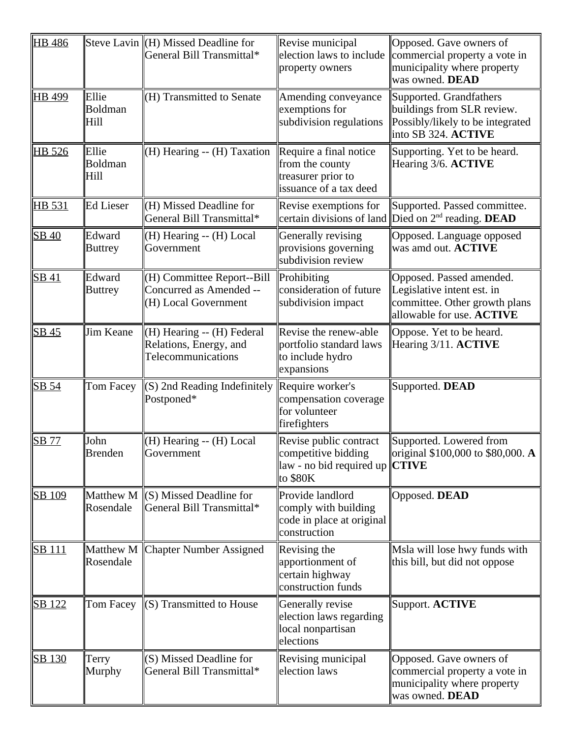| <b>HB</b> 486 |                          | Steve Lavin $\Vert$ (H) Missed Deadline for<br>General Bill Transmittal*      | Revise municipal<br>election laws to include<br>property owners                                      | Opposed. Gave owners of<br>commercial property a vote in<br>municipality where property<br>was owned. DEAD           |
|---------------|--------------------------|-------------------------------------------------------------------------------|------------------------------------------------------------------------------------------------------|----------------------------------------------------------------------------------------------------------------------|
| HB 499        | Ellie<br>Boldman<br>Hill | (H) Transmitted to Senate                                                     | Amending conveyance<br>exemptions for<br>subdivision regulations                                     | Supported. Grandfathers<br>buildings from SLR review.<br>Possibly/likely to be integrated<br>into SB 324. ACTIVE     |
| HB 526        | Ellie<br>Boldman<br>Hill | (H) Hearing -- (H) Taxation                                                   | Require a final notice<br>from the county<br>treasurer prior to<br>issuance of a tax deed            | Supporting. Yet to be heard.<br>Hearing 3/6. ACTIVE                                                                  |
| HB 531        | Ed Lieser                | (H) Missed Deadline for<br>General Bill Transmittal*                          | Revise exemptions for<br>certain divisions of land                                                   | Supported. Passed committee.<br>Died on $2^{nd}$ reading. DEAD                                                       |
| SB 40         | Edward<br><b>Buttrey</b> | (H) Hearing -- (H) Local<br>Government                                        | Generally revising<br>provisions governing<br>subdivision review                                     | Opposed. Language opposed<br>was amd out. ACTIVE                                                                     |
| <b>SB41</b>   | Edward<br><b>Buttrey</b> | (H) Committee Report--Bill<br>Concurred as Amended --<br>(H) Local Government | Prohibiting<br>consideration of future<br>subdivision impact                                         | Opposed. Passed amended.<br>Legislative intent est. in<br>committee. Other growth plans<br>allowable for use. ACTIVE |
| <b>SB 45</b>  | Jim Keane                | (H) Hearing -- (H) Federal<br>Relations, Energy, and<br>Telecommunications    | Revise the renew-able<br>portfolio standard laws<br>to include hydro<br>expansions                   | Oppose. Yet to be heard.<br>Hearing 3/11. ACTIVE                                                                     |
| SB 54         | Tom Facey                | (S) 2nd Reading Indefinitely<br>Postponed*                                    | Require worker's<br>compensation coverage<br>for volunteer<br>firefighters                           | Supported. DEAD                                                                                                      |
| <b>SB 77</b>  | John<br><b>Brenden</b>   | (H) Hearing -- (H) Local<br>Government                                        | Revise public contract<br>competitive bidding<br>$\ aw - no\ $ bid required up $\ CTIVE$<br>to \$80K | Supported. Lowered from<br>original \$100,000 to \$80,000. A                                                         |
| <b>SB 109</b> | Matthew M<br>Rosendale   | (S) Missed Deadline for<br>General Bill Transmittal*                          | Provide landlord<br>comply with building<br>code in place at original<br>construction                | Opposed. DEAD                                                                                                        |
| <b>SB</b> 111 | Matthew M<br>Rosendale   | <b>Chapter Number Assigned</b>                                                | Revising the<br>apportionment of<br>certain highway<br>construction funds                            | Msla will lose hwy funds with<br>this bill, but did not oppose                                                       |
| SB 122        | Tom Facey                | (S) Transmitted to House                                                      | Generally revise<br>election laws regarding<br>local nonpartisan<br>elections                        | Support. ACTIVE                                                                                                      |
| SB 130        | Terry<br>Murphy          | (S) Missed Deadline for<br>General Bill Transmittal*                          | Revising municipal<br>election laws                                                                  | Opposed. Gave owners of<br>commercial property a vote in<br>municipality where property<br>was owned. DEAD           |